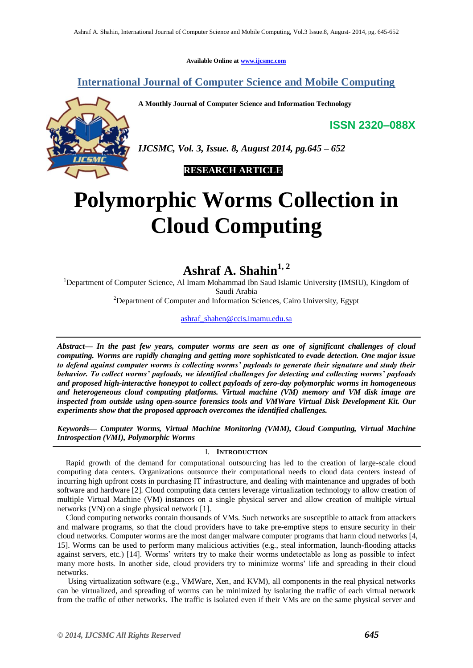**Available Online at [www.ijcsmc.com](http://www.ijcsmc.com/)**

### **International Journal of Computer Science and Mobile Computing**

**A Monthly Journal of Computer Science and Information Technology**

**ISSN 2320–088X**



*IJCSMC, Vol. 3, Issue. 8, August 2014, pg.645 – 652*

 **RESEARCH ARTICLE**

# **Polymorphic Worms Collection in Cloud Computing**

## **Ashraf A. Shahin1, 2**

<sup>1</sup>Department of Computer Science, Al Imam Mohammad Ibn Saud Islamic University (IMSIU), Kingdom of Saudi Arabia

<sup>2</sup>Department of Computer and Information Sciences, Cairo University, Egypt

[ashraf\\_shahen@ccis.imamu.edu.sa](mailto:ashraf_shahen@ccis.imamu.edu.sa)

*Abstract— In the past few years, computer worms are seen as one of significant challenges of cloud computing. Worms are rapidly changing and getting more sophisticated to evade detection. One major issue to defend against computer worms is collecting worms' payloads to generate their signature and study their behavior. To collect worms' payloads, we identified challenges for detecting and collecting worms' payloads and proposed high-interactive honeypot to collect payloads of zero-day polymorphic worms in homogeneous and heterogeneous cloud computing platforms. Virtual machine (VM) memory and VM disk image are inspected from outside using open-source forensics tools and VMWare Virtual Disk Development Kit. Our experiments show that the proposed approach overcomes the identified challenges.*

*Keywords— Computer Worms, Virtual Machine Monitoring (VMM), Cloud Computing, Virtual Machine Introspection (VMI), Polymorphic Worms*

#### I. **INTRODUCTION**

Rapid growth of the demand for computational outsourcing has led to the creation of large-scale cloud computing data centers. Organizations outsource their computational needs to cloud data centers instead of incurring high upfront costs in purchasing IT infrastructure, and dealing with maintenance and upgrades of both software and hardware [2]. Cloud computing data centers leverage virtualization technology to allow creation of multiple Virtual Machine (VM) instances on a single physical server and allow creation of multiple virtual networks (VN) on a single physical network [1].

Cloud computing networks contain thousands of VMs. Such networks are susceptible to attack from attackers and malware programs, so that the cloud providers have to take pre-emptive steps to ensure security in their cloud networks. Computer worms are the most danger malware computer programs that harm cloud networks [4, 15]. Worms can be used to perform many malicious activities (e.g., steal information, launch-flooding attacks against servers, etc.) [14]. Worms' writers try to make their worms undetectable as long as possible to infect many more hosts. In another side, cloud providers try to minimize worms' life and spreading in their cloud networks.

Using virtualization software (e.g., VMWare, Xen, and KVM), all components in the real physical networks can be virtualized, and spreading of worms can be minimized by isolating the traffic of each virtual network from the traffic of other networks. The traffic is isolated even if their VMs are on the same physical server and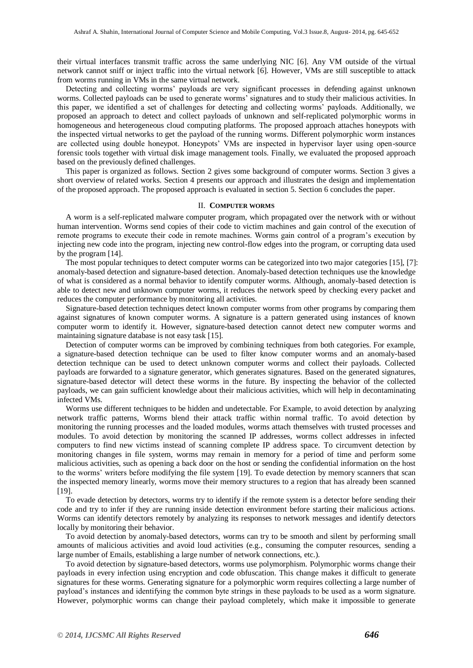their virtual interfaces transmit traffic across the same underlying NIC [6]. Any VM outside of the virtual network cannot sniff or inject traffic into the virtual network [6]. However, VMs are still susceptible to attack from worms running in VMs in the same virtual network.

Detecting and collecting worms' payloads are very significant processes in defending against unknown worms. Collected payloads can be used to generate worms' signatures and to study their malicious activities. In this paper, we identified a set of challenges for detecting and collecting worms' payloads. Additionally, we proposed an approach to detect and collect payloads of unknown and self-replicated polymorphic worms in homogeneous and heterogeneous cloud computing platforms. The proposed approach attaches honeypots with the inspected virtual networks to get the payload of the running worms. Different polymorphic worm instances are collected using double honeypot. Honeypots' VMs are inspected in hypervisor layer using open-source forensic tools together with virtual disk image management tools. Finally, we evaluated the proposed approach based on the previously defined challenges.

This paper is organized as follows. Section 2 gives some background of computer worms. Section 3 gives a short overview of related works. Section 4 presents our approach and illustrates the design and implementation of the proposed approach. The proposed approach is evaluated in section 5. Section 6 concludes the paper.

#### II. **COMPUTER WORMS**

A worm is a self-replicated malware computer program, which propagated over the network with or without human intervention. Worms send copies of their code to victim machines and gain control of the execution of remote programs to execute their code in remote machines. Worms gain control of a program's execution by injecting new code into the program, injecting new control-flow edges into the program, or corrupting data used by the program [14].

The most popular techniques to detect computer worms can be categorized into two major categories [15], [7]: anomaly-based detection and signature-based detection. Anomaly-based detection techniques use the knowledge of what is considered as a normal behavior to identify computer worms. Although, anomaly-based detection is able to detect new and unknown computer worms, it reduces the network speed by checking every packet and reduces the computer performance by monitoring all activities.

Signature-based detection techniques detect known computer worms from other programs by comparing them against signatures of known computer worms. A signature is a pattern generated using instances of known computer worm to identify it. However, signature-based detection cannot detect new computer worms and maintaining signature database is not easy task [15].

Detection of computer worms can be improved by combining techniques from both categories. For example, a signature-based detection technique can be used to filter know computer worms and an anomaly-based detection technique can be used to detect unknown computer worms and collect their payloads. Collected payloads are forwarded to a signature generator, which generates signatures. Based on the generated signatures, signature-based detector will detect these worms in the future. By inspecting the behavior of the collected payloads, we can gain sufficient knowledge about their malicious activities, which will help in decontaminating infected VMs.

Worms use different techniques to be hidden and undetectable. For Example, to avoid detection by analyzing network traffic patterns, Worms blend their attack traffic within normal traffic. To avoid detection by monitoring the running processes and the loaded modules, worms attach themselves with trusted processes and modules. To avoid detection by monitoring the scanned IP addresses, worms collect addresses in infected computers to find new victims instead of scanning complete IP address space. To circumvent detection by monitoring changes in file system, worms may remain in memory for a period of time and perform some malicious activities, such as opening a back door on the host or sending the confidential information on the host to the worms' writers before modifying the file system [19]. To evade detection by memory scanners that scan the inspected memory linearly, worms move their memory structures to a region that has already been scanned [19].

To evade detection by detectors, worms try to identify if the remote system is a detector before sending their code and try to infer if they are running inside detection environment before starting their malicious actions. Worms can identify detectors remotely by analyzing its responses to network messages and identify detectors locally by monitoring their behavior.

To avoid detection by anomaly-based detectors, worms can try to be smooth and silent by performing small amounts of malicious activities and avoid loud activities (e.g., consuming the computer resources, sending a large number of Emails, establishing a large number of network connections, etc.).

To avoid detection by signature-based detectors, worms use polymorphism. Polymorphic worms change their payloads in every infection using encryption and code obfuscation. This change makes it difficult to generate signatures for these worms. Generating signature for a polymorphic worm requires collecting a large number of payload's instances and identifying the common byte strings in these payloads to be used as a worm signature. However, polymorphic worms can change their payload completely, which make it impossible to generate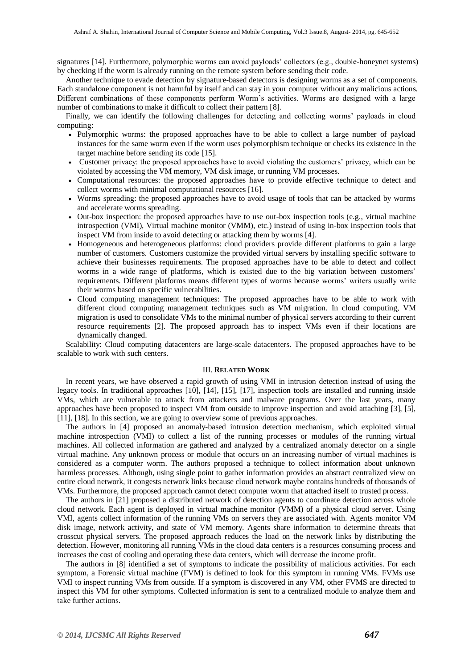signatures [14]. Furthermore, polymorphic worms can avoid payloads' collectors (e.g., double-honeynet systems) by checking if the worm is already running on the remote system before sending their code.

Another technique to evade detection by signature-based detectors is designing worms as a set of components. Each standalone component is not harmful by itself and can stay in your computer without any malicious actions. Different combinations of these components perform Worm's activities. Worms are designed with a large number of combinations to make it difficult to collect their pattern [8].

Finally, we can identify the following challenges for detecting and collecting worms' payloads in cloud computing:

- Polymorphic worms: the proposed approaches have to be able to collect a large number of payload instances for the same worm even if the worm uses polymorphism technique or checks its existence in the target machine before sending its code [15].
- Customer privacy: the proposed approaches have to avoid violating the customers' privacy, which can be violated by accessing the VM memory, VM disk image, or running VM processes.
- Computational resources: the proposed approaches have to provide effective technique to detect and collect worms with minimal computational resources [16].
- Worms spreading: the proposed approaches have to avoid usage of tools that can be attacked by worms and accelerate worms spreading.
- Out-box inspection: the proposed approaches have to use out-box inspection tools (e.g., virtual machine introspection (VMI), Virtual machine monitor (VMM), etc.) instead of using in-box inspection tools that inspect VM from inside to avoid detecting or attacking them by worms [4].
- Homogeneous and heterogeneous platforms: cloud providers provide different platforms to gain a large number of customers. Customers customize the provided virtual servers by installing specific software to achieve their businesses requirements. The proposed approaches have to be able to detect and collect worms in a wide range of platforms, which is existed due to the big variation between customers' requirements. Different platforms means different types of worms because worms' writers usually write their worms based on specific vulnerabilities.
- Cloud computing management techniques: The proposed approaches have to be able to work with different cloud computing management techniques such as VM migration. In cloud computing, VM migration is used to consolidate VMs to the minimal number of physical servers according to their current resource requirements [2]. The proposed approach has to inspect VMs even if their locations are dynamically changed.

Scalability: Cloud computing datacenters are large-scale datacenters. The proposed approaches have to be scalable to work with such centers.

#### III. **RELATED WORK**

In recent years, we have observed a rapid growth of using VMI in intrusion detection instead of using the legacy tools. In traditional approaches [10], [14], [15], [17], inspection tools are installed and running inside VMs, which are vulnerable to attack from attackers and malware programs. Over the last years, many approaches have been proposed to inspect VM from outside to improve inspection and avoid attaching [3], [5], [11], [18]. In this section, we are going to overview some of previous approaches.

The authors in [4] proposed an anomaly-based intrusion detection mechanism, which exploited virtual machine introspection (VMI) to collect a list of the running processes or modules of the running virtual machines. All collected information are gathered and analyzed by a centralized anomaly detector on a single virtual machine. Any unknown process or module that occurs on an increasing number of virtual machines is considered as a computer worm. The authors proposed a technique to collect information about unknown harmless processes. Although, using single point to gather information provides an abstract centralized view on entire cloud network, it congests network links because cloud network maybe contains hundreds of thousands of VMs. Furthermore, the proposed approach cannot detect computer worm that attached itself to trusted process.

The authors in [21] proposed a distributed network of detection agents to coordinate detection across whole cloud network. Each agent is deployed in virtual machine monitor (VMM) of a physical cloud server. Using VMI, agents collect information of the running VMs on servers they are associated with. Agents monitor VM disk image, network activity, and state of VM memory. Agents share information to determine threats that crosscut physical servers. The proposed approach reduces the load on the network links by distributing the detection. However, monitoring all running VMs in the cloud data centers is a resources consuming process and increases the cost of cooling and operating these data centers, which will decrease the income profit.

The authors in [8] identified a set of symptoms to indicate the possibility of malicious activities. For each symptom, a Forensic virtual machine (FVM) is defined to look for this symptom in running VMs. FVMs use VMI to inspect running VMs from outside. If a symptom is discovered in any VM, other FVMS are directed to inspect this VM for other symptoms. Collected information is sent to a centralized module to analyze them and take further actions.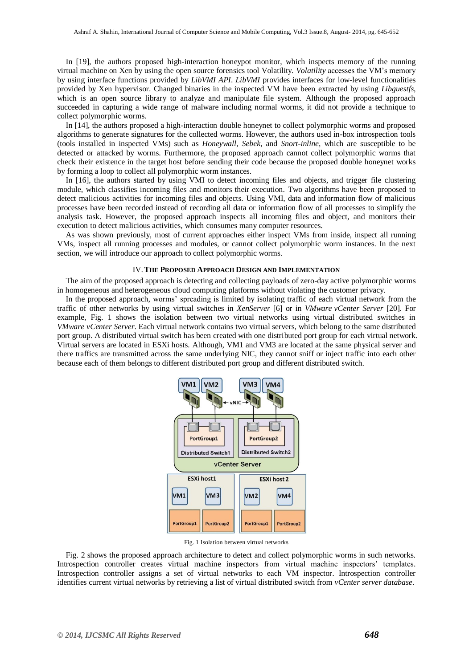In [19], the authors proposed high-interaction honeypot monitor, which inspects memory of the running virtual machine on Xen by using the open source forensics tool Volatility. *Volatility* accesses the VM's memory by using interface functions provided by *LibVMI API*. *LibVMI* provides interfaces for low-level functionalities provided by Xen hypervisor. Changed binaries in the inspected VM have been extracted by using *Libguestfs*, which is an open source library to analyze and manipulate file system. Although the proposed approach succeeded in capturing a wide range of malware including normal worms, it did not provide a technique to collect polymorphic worms.

In [14], the authors proposed a high-interaction double honeynet to collect polymorphic worms and proposed algorithms to generate signatures for the collected worms. However, the authors used in-box introspection tools (tools installed in inspected VMs) such as *Honeywall, Sebek*, and *Snort-inline*, which are susceptible to be detected or attacked by worms. Furthermore, the proposed approach cannot collect polymorphic worms that check their existence in the target host before sending their code because the proposed double honeynet works by forming a loop to collect all polymorphic worm instances.

In [16], the authors started by using VMI to detect incoming files and objects, and trigger file clustering module, which classifies incoming files and monitors their execution. Two algorithms have been proposed to detect malicious activities for incoming files and objects. Using VMI, data and information flow of malicious processes have been recorded instead of recording all data or information flow of all processes to simplify the analysis task. However, the proposed approach inspects all incoming files and object, and monitors their execution to detect malicious activities, which consumes many computer resources.

As was shown previously, most of current approaches either inspect VMs from inside, inspect all running VMs, inspect all running processes and modules, or cannot collect polymorphic worm instances. In the next section, we will introduce our approach to collect polymorphic worms.

#### IV.**THE PROPOSED APPROACH DESIGN AND IMPLEMENTATION**

The aim of the proposed approach is detecting and collecting payloads of zero-day active polymorphic worms in homogeneous and heterogeneous cloud computing platforms without violating the customer privacy.

In the proposed approach, worms' spreading is limited by isolating traffic of each virtual network from the traffic of other networks by using virtual switches in *XenServer* [6] or in *VMware [vCenter Server](http://www.vmware.com/products/vcenter-server/)* [20]. For example, Fig. 1 shows the isolation between two virtual networks using virtual distributed switches in *VMware [vCenter Server](http://www.vmware.com/products/vcenter-server/)*. Each virtual network contains two virtual servers, which belong to the same distributed port group. A distributed virtual switch has been created with one distributed port group for each virtual network. Virtual servers are located in ESXi hosts. Although, VM1 and VM3 are located at the same physical server and there traffics are transmitted across the same underlying NIC, they cannot sniff or inject traffic into each other because each of them belongs to different distributed port group and different distributed switch.



Fig. 1 Isolation between virtual networks

Fig. 2 shows the proposed approach architecture to detect and collect polymorphic worms in such networks. Introspection controller creates virtual machine inspectors from virtual machine inspectors' templates. Introspection controller assigns a set of virtual networks to each VM inspector. Introspection controller identifies current virtual networks by retrieving a list of virtual distributed switch from *vCenter server database*.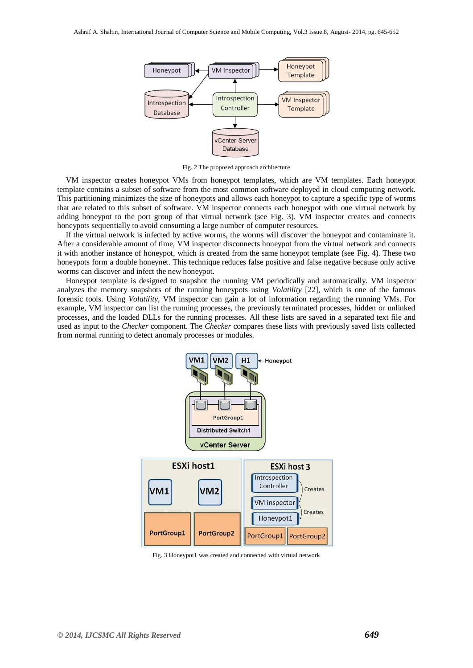

Fig. 2 The proposed approach architecture

VM inspector creates honeypot VMs from honeypot templates, which are VM templates. Each honeypot template contains a subset of software from the most common software deployed in cloud computing network. This partitioning minimizes the size of honeypots and allows each honeypot to capture a specific type of worms that are related to this subset of software. VM inspector connects each honeypot with one virtual network by adding honeypot to the port group of that virtual network (see Fig. 3). VM inspector creates and connects honeypots sequentially to avoid consuming a large number of computer resources.

If the virtual network is infected by active worms, the worms will discover the honeypot and contaminate it. After a considerable amount of time, VM inspector disconnects honeypot from the virtual network and connects it with another instance of honeypot, which is created from the same honeypot template (see Fig. 4). These two honeypots form a double honeynet. This technique reduces false positive and false negative because only active worms can discover and infect the new honeypot.

Honeypot template is designed to snapshot the running VM periodically and automatically. VM inspector analyzes the memory snapshots of the running honeypots using *Volatility* [22], which is one of the famous forensic tools. Using *Volatility*, VM inspector can gain a lot of information regarding the running VMs. For example, VM inspector can list the running processes, the previously terminated processes, hidden or unlinked processes, and the loaded DLLs for the running processes. All these lists are saved in a separated text file and used as input to the *Checker* component. The *Checker* compares these lists with previously saved lists collected from normal running to detect anomaly processes or modules.



Fig. 3 Honeypot1 was created and connected with virtual network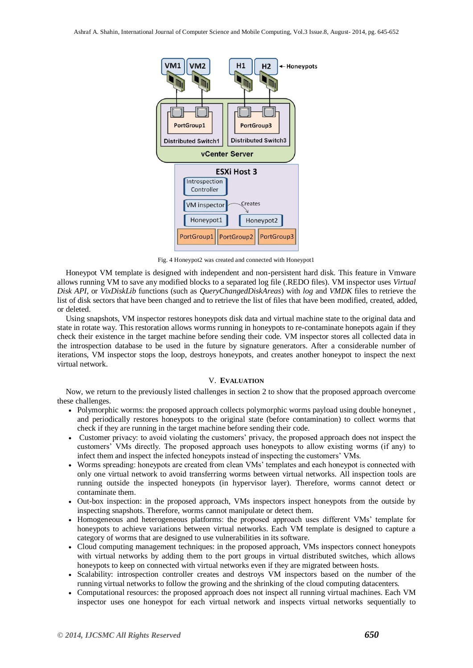

Fig. 4 Honeypot2 was created and connected with Honeypot1

Honeypot VM template is designed with independent and non-persistent hard disk. This feature in Vmware allows running VM to save any modified blocks to a separated log file (.REDO files). VM inspector uses *Virtual Disk API*, or *VixDiskLib* functions (such as *QueryChangedDiskAreas*) with *log* and *VMDK* files to retrieve the list of disk sectors that have been changed and to retrieve the list of files that have been modified, created, added, or deleted.

Using snapshots, VM inspector restores honeypots disk data and virtual machine state to the original data and state in rotate way. This restoration allows worms running in honeypots to re-contaminate honepots again if they check their existence in the target machine before sending their code. VM inspector stores all collected data in the introspection database to be used in the future by signature generators. After a considerable number of iterations, VM inspector stops the loop, destroys honeypots, and creates another honeypot to inspect the next virtual network.

#### V. **EVALUATION**

Now, we return to the previously listed challenges in section 2 to show that the proposed approach overcome these challenges.

- Polymorphic worms: the proposed approach collects polymorphic worms payload using double honeynet, and periodically restores honeypots to the original state (before contamination) to collect worms that check if they are running in the target machine before sending their code.
- Customer privacy: to avoid violating the customers' privacy, the proposed approach does not inspect the customers' VMs directly. The proposed approach uses honeypots to allow existing worms (if any) to infect them and inspect the infected honeypots instead of inspecting the customers' VMs.
- Worms spreading: honeypots are created from clean VMs' templates and each honeypot is connected with only one virtual network to avoid transferring worms between virtual networks. All inspection tools are running outside the inspected honeypots (in hypervisor layer). Therefore, worms cannot detect or contaminate them.
- Out-box inspection: in the proposed approach, VMs inspectors inspect honeypots from the outside by inspecting snapshots. Therefore, worms cannot manipulate or detect them.
- Homogeneous and heterogeneous platforms: the proposed approach uses different VMs' template for honeypots to achieve variations between virtual networks. Each VM template is designed to capture a category of worms that are designed to use vulnerabilities in its software.
- Cloud computing management techniques: in the proposed approach, VMs inspectors connect honeypots with virtual networks by adding them to the port groups in virtual distributed switches, which allows honeypots to keep on connected with virtual networks even if they are migrated between hosts.
- Scalability: introspection controller creates and destroys VM inspectors based on the number of the running virtual networks to follow the growing and the shrinking of the cloud computing datacenters.
- Computational resources: the proposed approach does not inspect all running virtual machines. Each VM inspector uses one honeypot for each virtual network and inspects virtual networks sequentially to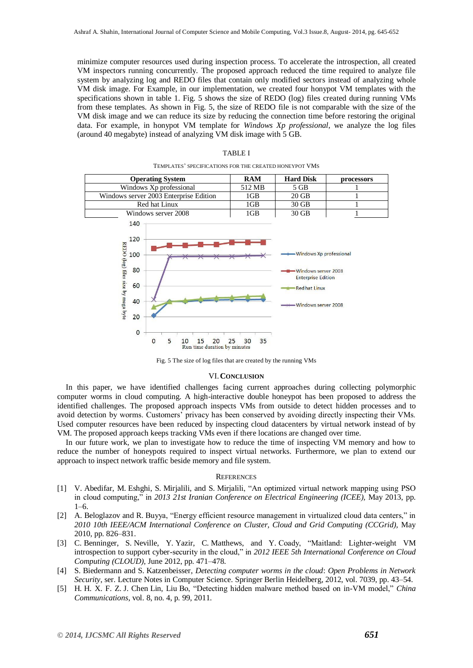minimize computer resources used during inspection process. To accelerate the introspection, all created VM inspectors running concurrently. The proposed approach reduced the time required to analyze file system by analyzing log and REDO files that contain only modified sectors instead of analyzing whole VM disk image. For Example, in our implementation, we created four honypot VM templates with the specifications shown in table 1. Fig. 5 shows the size of REDO (log) files created during running VMs from these templates. As shown in Fig. 5, the size of REDO file is not comparable with the size of the VM disk image and we can reduce its size by reducing the connection time before restoring the original data. For example, in honypot VM template for *Windows Xp professional*, we analyze the log files (around 40 megabyte) instead of analyzing VM disk image with 5 GB.

| <b>Operating System</b>                                                     | <b>RAM</b>     | <b>Hard Disk</b>                                                                                                              | processors |
|-----------------------------------------------------------------------------|----------------|-------------------------------------------------------------------------------------------------------------------------------|------------|
| Windows Xp professional                                                     | 512 MB         | 5 GB                                                                                                                          |            |
| Windows server 2003 Enterprise Edition                                      | 1GB            | 20 GB                                                                                                                         |            |
| Red hat Linux                                                               | 1GB            | 30 GB                                                                                                                         |            |
| Windows server 2008                                                         | 1GB            | 30 GB                                                                                                                         | 1          |
| 120<br>REDO (log) files size by mega byte<br>100<br>80<br>60<br>40<br>20    |                | - Windows Xp professional<br>Windows server 2003<br><b>Enterprise Edition</b><br><b>Red hat Linux</b><br>-Windows server 2008 |            |
| $\bf{0}$<br>5<br>$\Omega$<br>15<br>20<br>10<br>Run time duration by minutes | 35<br>25<br>30 |                                                                                                                               |            |

|--|--|

TEMPLATES' SPECIFICATIONS FOR THE CREATED HONEYPOT VMS

Fig. 5 The size of log files that are created by the running VMs

#### VI.**CONCLUSION**

In this paper, we have identified challenges facing current approaches during collecting polymorphic computer worms in cloud computing. A high-interactive double honeypot has been proposed to address the identified challenges. The proposed approach inspects VMs from outside to detect hidden processes and to avoid detection by worms. Customers' privacy has been conserved by avoiding directly inspecting their VMs. Used computer resources have been reduced by inspecting cloud datacenters by virtual network instead of by VM. The proposed approach keeps tracking VMs even if there locations are changed over time.

In our future work, we plan to investigate how to reduce the time of inspecting VM memory and how to reduce the number of honeypots required to inspect virtual networks. Furthermore, we plan to extend our approach to inspect network traffic beside memory and file system.

#### **REFERENCES**

- [1] V. Abedifar, M. Eshghi, S. Mirjalili, and S. Mirjalili, "An optimized virtual network mapping using PSO in cloud computing," in *2013 21st Iranian Conference on Electrical Engineering (ICEE),* May 2013, pp. 1–6.
- [2] A. Beloglazov and R. Buyya, "Energy efficient resource management in virtualized cloud data centers," in *2010 10th IEEE/ACM International Conference on Cluster, Cloud and Grid Computing (CCGrid),* May 2010, pp. 826–831.
- [3] C. Benninger, S. Neville, Y. Yazir, C. Matthews, and Y. Coady, "Maitland: Lighter-weight VM introspection to support cyber-security in the cloud," in *2012 IEEE 5th International Conference on Cloud Computing (CLOUD)*, June 2012, pp. 471–478.
- [4] S. Biedermann and S. Katzenbeisser, *Detecting computer worms in the cloud*: *Open Problems in Network Security*, ser. Lecture Notes in Computer Science. Springer Berlin Heidelberg, 2012, vol. 7039, pp. 43–54.
- [5] H. H. X. F. Z. J. Chen Lin, Liu Bo, "Detecting hidden malware method based on in-VM model," *China Communications*, vol. 8, no. 4, p. 99, 2011.